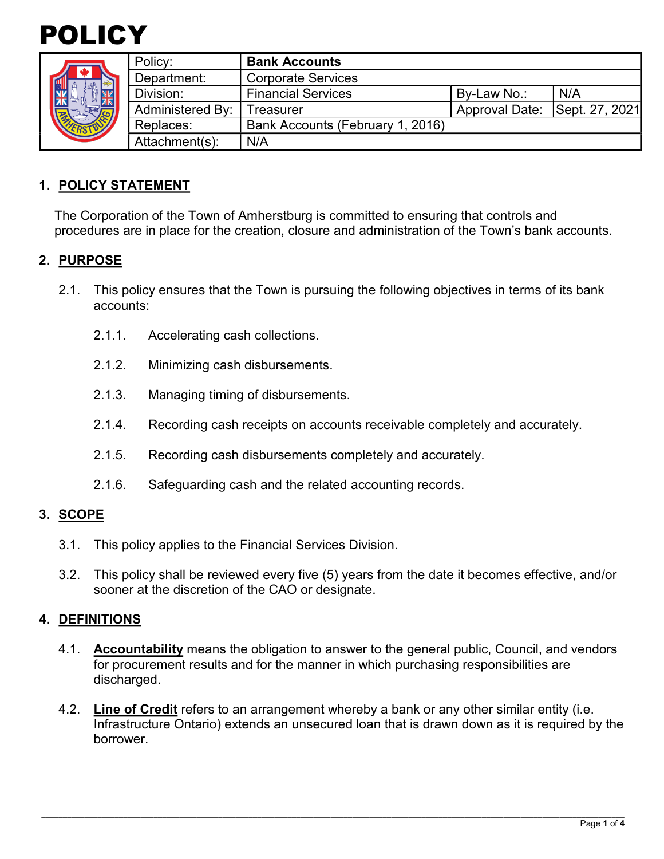



|  | Policy:                 | <b>Bank Accounts</b>             |                       |                |
|--|-------------------------|----------------------------------|-----------------------|----------------|
|  | Department:             | <b>Corporate Services</b>        |                       |                |
|  | Division:               | <b>Financial Services</b>        | By-Law No.:           | N/A            |
|  | <b>Administered By:</b> | Treasurer                        | <b>Approval Date:</b> | Sept. 27, 2021 |
|  | Replaces:               | Bank Accounts (February 1, 2016) |                       |                |
|  | Attachment(s):          | N/A                              |                       |                |

## **1. POLICY STATEMENT**

The Corporation of the Town of Amherstburg is committed to ensuring that controls and procedures are in place for the creation, closure and administration of the Town's bank accounts.

## **2. PURPOSE**

- 2.1. This policy ensures that the Town is pursuing the following objectives in terms of its bank accounts:
	- 2.1.1. Accelerating cash collections.
	- 2.1.2. Minimizing cash disbursements.
	- 2.1.3. Managing timing of disbursements.
	- 2.1.4. Recording cash receipts on accounts receivable completely and accurately.
	- 2.1.5. Recording cash disbursements completely and accurately.
	- 2.1.6. Safeguarding cash and the related accounting records.

#### **3. SCOPE**

- 3.1. This policy applies to the Financial Services Division.
- 3.2. This policy shall be reviewed every five (5) years from the date it becomes effective, and/or sooner at the discretion of the CAO or designate.

### **4. DEFINITIONS**

- 4.1. **Accountability** means the obligation to answer to the general public, Council, and vendors for procurement results and for the manner in which purchasing responsibilities are discharged.
- 4.2. **Line of Credit** refers to an arrangement whereby a bank or any other similar entity (i.e. Infrastructure Ontario) extends an unsecured loan that is drawn down as it is required by the borrower.

\_\_\_\_\_\_\_\_\_\_\_\_\_\_\_\_\_\_\_\_\_\_\_\_\_\_\_\_\_\_\_\_\_\_\_\_\_\_\_\_\_\_\_\_\_\_\_\_\_\_\_\_\_\_\_\_\_\_\_\_\_\_\_\_\_\_\_\_\_\_\_\_\_\_\_\_\_\_\_\_\_\_\_\_\_\_\_\_\_\_\_\_\_\_\_\_\_\_\_\_\_\_\_\_\_\_\_\_\_\_\_\_\_\_\_\_\_\_\_\_\_\_\_\_\_\_\_\_\_\_\_\_\_\_\_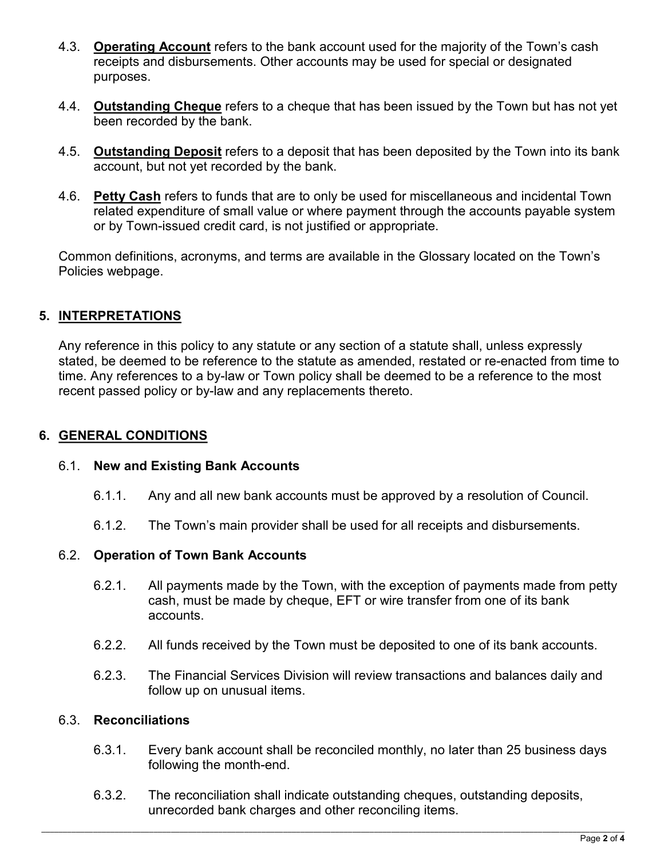- 4.3. **Operating Account** refers to the bank account used for the majority of the Town's cash receipts and disbursements. Other accounts may be used for special or designated purposes.
- 4.4. **Outstanding Cheque** refers to a cheque that has been issued by the Town but has not yet been recorded by the bank.
- 4.5. **Outstanding Deposit** refers to a deposit that has been deposited by the Town into its bank account, but not yet recorded by the bank.
- 4.6. **Petty Cash** refers to funds that are to only be used for miscellaneous and incidental Town related expenditure of small value or where payment through the accounts payable system or by Town-issued credit card, is not justified or appropriate.

Common definitions, acronyms, and terms are available in the Glossary located on the Town's Policies webpage.

# **5. INTERPRETATIONS**

Any reference in this policy to any statute or any section of a statute shall, unless expressly stated, be deemed to be reference to the statute as amended, restated or re-enacted from time to time. Any references to a by-law or Town policy shall be deemed to be a reference to the most recent passed policy or by-law and any replacements thereto.

### **6. GENERAL CONDITIONS**

### 6.1. **New and Existing Bank Accounts**

- 6.1.1. Any and all new bank accounts must be approved by a resolution of Council.
- 6.1.2. The Town's main provider shall be used for all receipts and disbursements.

### 6.2. **Operation of Town Bank Accounts**

- 6.2.1. All payments made by the Town, with the exception of payments made from petty cash, must be made by cheque, EFT or wire transfer from one of its bank accounts.
- 6.2.2. All funds received by the Town must be deposited to one of its bank accounts.
- 6.2.3. The Financial Services Division will review transactions and balances daily and follow up on unusual items.

#### 6.3. **Reconciliations**

- 6.3.1. Every bank account shall be reconciled monthly, no later than 25 business days following the month-end.
- 6.3.2. The reconciliation shall indicate outstanding cheques, outstanding deposits, unrecorded bank charges and other reconciling items.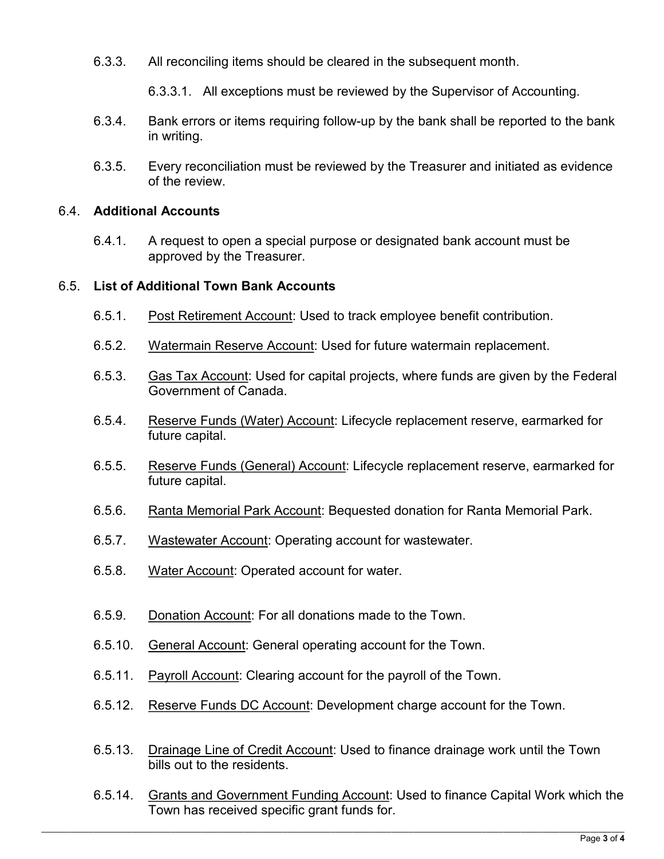6.3.3. All reconciling items should be cleared in the subsequent month.

6.3.3.1. All exceptions must be reviewed by the Supervisor of Accounting.

- 6.3.4. Bank errors or items requiring follow-up by the bank shall be reported to the bank in writing.
- 6.3.5. Every reconciliation must be reviewed by the Treasurer and initiated as evidence of the review.

## 6.4. **Additional Accounts**

6.4.1. A request to open a special purpose or designated bank account must be approved by the Treasurer.

## 6.5. **List of Additional Town Bank Accounts**

- 6.5.1. Post Retirement Account: Used to track employee benefit contribution.
- 6.5.2. Watermain Reserve Account: Used for future watermain replacement.
- 6.5.3. Gas Tax Account: Used for capital projects, where funds are given by the Federal Government of Canada.
- 6.5.4. Reserve Funds (Water) Account: Lifecycle replacement reserve, earmarked for future capital.
- 6.5.5. Reserve Funds (General) Account: Lifecycle replacement reserve, earmarked for future capital.
- 6.5.6. Ranta Memorial Park Account: Bequested donation for Ranta Memorial Park.
- 6.5.7. Wastewater Account: Operating account for wastewater.
- 6.5.8. Water Account: Operated account for water.
- 6.5.9. Donation Account: For all donations made to the Town.
- 6.5.10. General Account: General operating account for the Town.
- 6.5.11. Payroll Account: Clearing account for the payroll of the Town.
- 6.5.12. Reserve Funds DC Account: Development charge account for the Town.
- 6.5.13. Drainage Line of Credit Account: Used to finance drainage work until the Town bills out to the residents.
- 6.5.14. Grants and Government Funding Account: Used to finance Capital Work which the Town has received specific grant funds for.